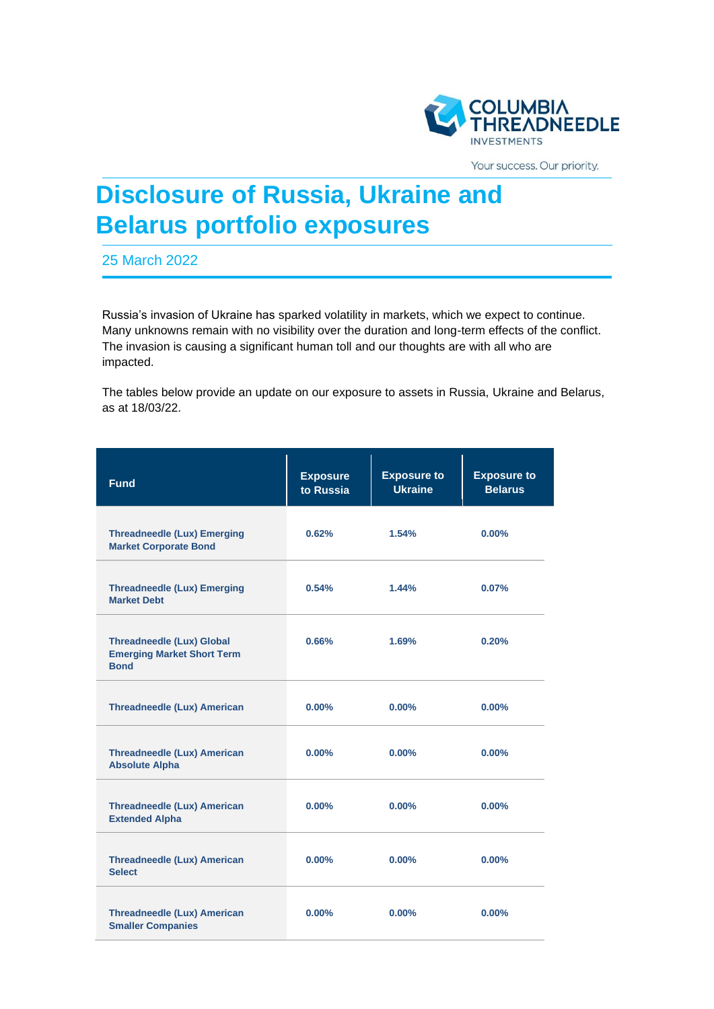

Your success. Our priority.

## **Disclosure of Russia, Ukraine and Belarus portfolio exposures**

25 March 2022

Russia's invasion of Ukraine has sparked volatility in markets, which we expect to continue. Many unknowns remain with no visibility over the duration and long-term effects of the conflict. The invasion is causing a significant human toll and our thoughts are with all who are impacted.

The tables below provide an update on our exposure to assets in Russia, Ukraine and Belarus, as at 18/03/22.

| <b>Fund</b>                                                                          | <b>Exposure</b><br>to Russia | <b>Exposure to</b><br><b>Ukraine</b> | <b>Exposure to</b><br><b>Belarus</b> |
|--------------------------------------------------------------------------------------|------------------------------|--------------------------------------|--------------------------------------|
| <b>Threadneedle (Lux) Emerging</b><br><b>Market Corporate Bond</b>                   | 0.62%                        | 1.54%                                | $0.00\%$                             |
| <b>Threadneedle (Lux) Emerging</b><br><b>Market Debt</b>                             | 0.54%                        | 1.44%                                | $0.07\%$                             |
| <b>Threadneedle (Lux) Global</b><br><b>Emerging Market Short Term</b><br><b>Bond</b> | 0.66%                        | 1.69%                                | 0.20%                                |
| <b>Threadneedle (Lux) American</b>                                                   | $0.00\%$                     | $0.00\%$                             | $0.00\%$                             |
| <b>Threadneedle (Lux) American</b><br><b>Absolute Alpha</b>                          | $0.00\%$                     | $0.00\%$                             | $0.00\%$                             |
| <b>Threadneedle (Lux) American</b><br><b>Extended Alpha</b>                          | $0.00\%$                     | $0.00\%$                             | $0.00\%$                             |
| <b>Threadneedle (Lux) American</b><br><b>Select</b>                                  | 0.00%                        | $0.00\%$                             | $0.00\%$                             |
| <b>Threadneedle (Lux) American</b><br><b>Smaller Companies</b>                       | $0.00\%$                     | 0.00%                                | 0.00%                                |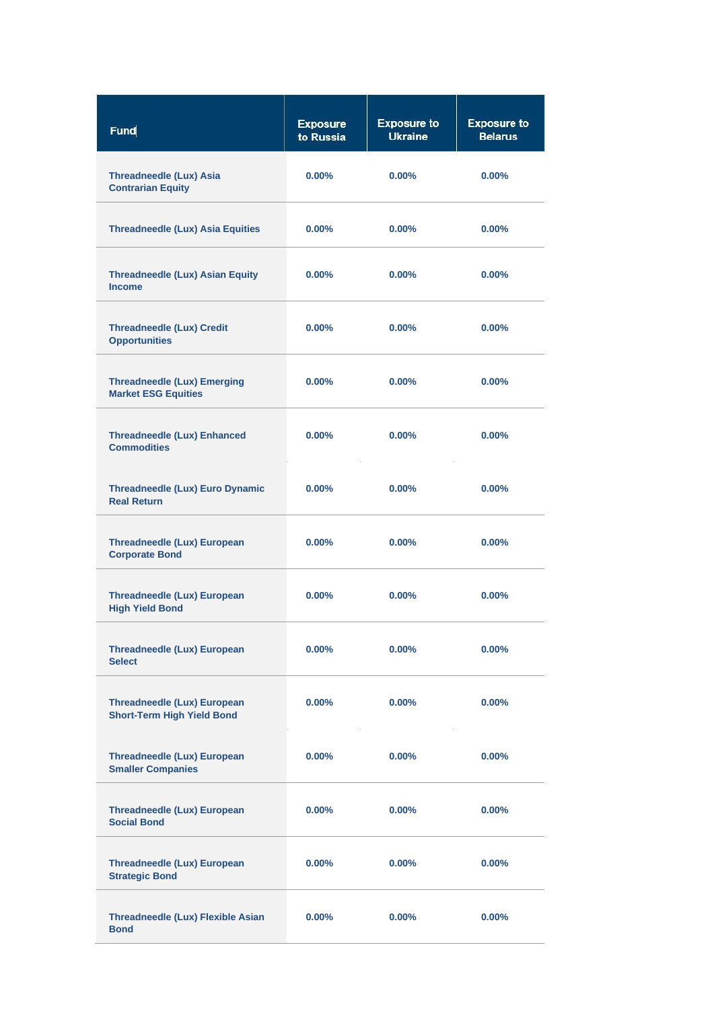| Fund                                                                    | <b>Exposure</b><br>to Russia | <b>Exposure to</b><br><b>Ukraine</b> | <b>Exposure to</b><br><b>Belarus</b> |
|-------------------------------------------------------------------------|------------------------------|--------------------------------------|--------------------------------------|
| <b>Threadneedle (Lux) Asia</b><br><b>Contrarian Equity</b>              | $0.00\%$                     | $0.00\%$                             | $0.00\%$                             |
| <b>Threadneedle (Lux) Asia Equities</b>                                 | $0.00\%$                     | $0.00\%$                             | $0.00\%$                             |
| <b>Threadneedle (Lux) Asian Equity</b><br><b>Income</b>                 | $0.00\%$                     | $0.00\%$                             | $0.00\%$                             |
| <b>Threadneedle (Lux) Credit</b><br><b>Opportunities</b>                | $0.00\%$                     | $0.00\%$                             | $0.00\%$                             |
| <b>Threadneedle (Lux) Emerging</b><br><b>Market ESG Equities</b>        | $0.00\%$                     | $0.00\%$                             | $0.00\%$                             |
| <b>Threadneedle (Lux) Enhanced</b><br><b>Commodities</b>                | $0.00\%$                     | $0.00\%$                             | $0.00\%$                             |
| Threadneedle (Lux) Euro Dynamic<br><b>Real Return</b>                   | $0.00\%$                     | $0.00\%$                             | $0.00\%$                             |
| <b>Threadneedle (Lux) European</b><br><b>Corporate Bond</b>             | $0.00\%$                     | $0.00\%$                             | $0.00\%$                             |
| <b>Threadneedle (Lux) European</b><br><b>High Yield Bond</b>            | $0.00\%$                     | $0.00\%$                             | $0.00\%$                             |
| <b>Threadneedle (Lux) European</b><br><b>Select</b>                     | $0.00\%$                     | $0.00\%$                             | $0.00\%$                             |
| <b>Threadneedle (Lux) European</b><br><b>Short-Term High Yield Bond</b> | $0.00\%$                     | $0.00\%$                             | 0.00%                                |
| <b>Threadneedle (Lux) European</b><br><b>Smaller Companies</b>          | $0.00\%$                     | $0.00\%$                             | $0.00\%$                             |
| <b>Threadneedle (Lux) European</b><br><b>Social Bond</b>                | $0.00\%$                     | $0.00\%$                             | 0.00%                                |
| <b>Threadneedle (Lux) European</b><br><b>Strategic Bond</b>             | $0.00\%$                     | $0.00\%$                             | $0.00\%$                             |
| <b>Threadneedle (Lux) Flexible Asian</b><br><b>Bond</b>                 | $0.00\%$                     | $0.00\%$                             | $0.00\%$                             |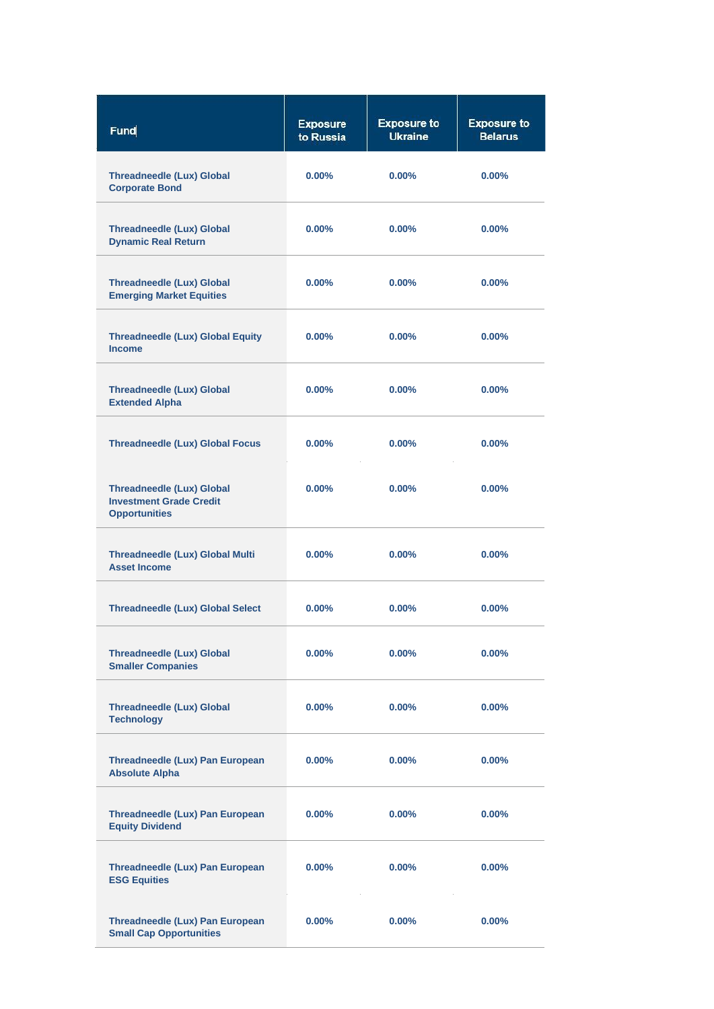| Fund                                                                                       | <b>Exposure</b><br>to Russia | <b>Exposure to</b><br><b>Ukraine</b> | <b>Exposure to</b><br><b>Belarus</b> |
|--------------------------------------------------------------------------------------------|------------------------------|--------------------------------------|--------------------------------------|
| <b>Threadneedle (Lux) Global</b><br><b>Corporate Bond</b>                                  | $0.00\%$                     | $0.00\%$                             | $0.00\%$                             |
| <b>Threadneedle (Lux) Global</b><br><b>Dynamic Real Return</b>                             | $0.00\%$                     | $0.00\%$                             | $0.00\%$                             |
| <b>Threadneedle (Lux) Global</b><br><b>Emerging Market Equities</b>                        | $0.00\%$                     | $0.00\%$                             | $0.00\%$                             |
| <b>Threadneedle (Lux) Global Equity</b><br><b>Income</b>                                   | $0.00\%$                     | $0.00\%$                             | $0.00\%$                             |
| <b>Threadneedle (Lux) Global</b><br><b>Extended Alpha</b>                                  | $0.00\%$                     | $0.00\%$                             | $0.00\%$                             |
| <b>Threadneedle (Lux) Global Focus</b>                                                     | $0.00\%$                     | $0.00\%$                             | $0.00\%$                             |
| <b>Threadneedle (Lux) Global</b><br><b>Investment Grade Credit</b><br><b>Opportunities</b> | $0.00\%$                     | $0.00\%$                             | $0.00\%$                             |
| <b>Threadneedle (Lux) Global Multi</b><br><b>Asset Income</b>                              | $0.00\%$                     | $0.00\%$                             | $0.00\%$                             |
| <b>Threadneedle (Lux) Global Select</b>                                                    | $0.00\%$                     | $0.00\%$                             | $0.00\%$                             |
| <b>Threadneedle (Lux) Global</b><br><b>Smaller Companies</b>                               | $0.00\%$                     | $0.00\%$                             | 0.00%                                |
| <b>Threadneedle (Lux) Global</b><br><b>Technology</b>                                      | $0.00\%$                     | $0.00\%$                             | $0.00\%$                             |
| Threadneedle (Lux) Pan European<br><b>Absolute Alpha</b>                                   | $0.00\%$                     | $0.00\%$                             | $0.00\%$                             |
| Threadneedle (Lux) Pan European<br><b>Equity Dividend</b>                                  | $0.00\%$                     | $0.00\%$                             | $0.00\%$                             |
| Threadneedle (Lux) Pan European<br><b>ESG Equities</b>                                     | $0.00\%$                     | $0.00\%$                             | $0.00\%$                             |
| Threadneedle (Lux) Pan European<br><b>Small Cap Opportunities</b>                          | $0.00\%$                     | $0.00\%$                             | $0.00\%$                             |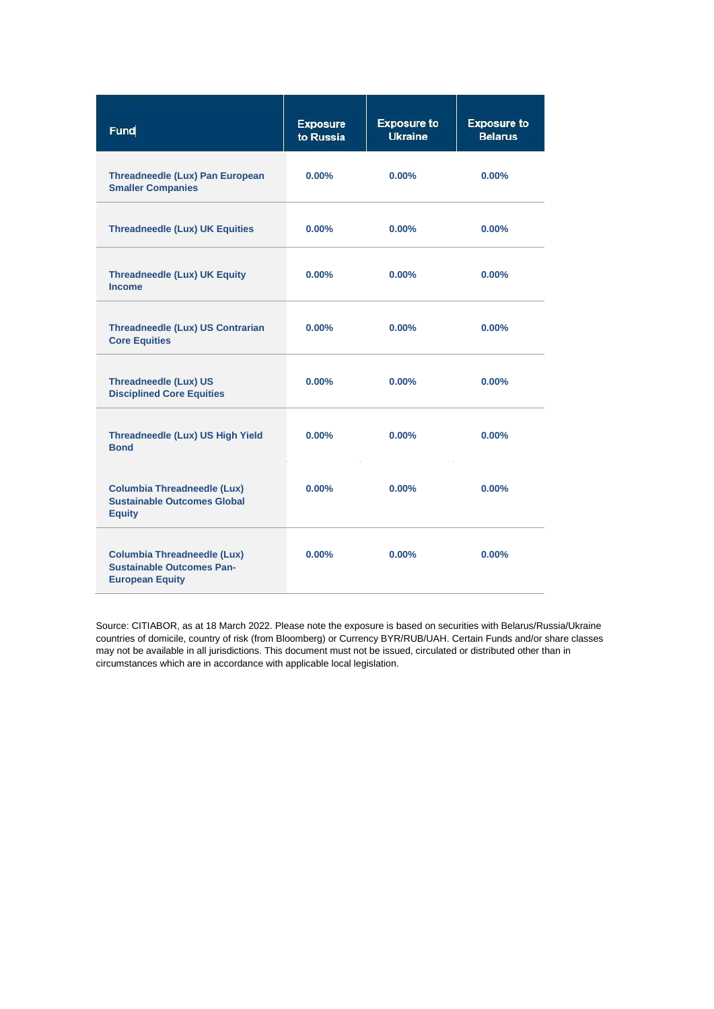| Fund                                                                                             | <b>Exposure</b><br>to Russia | <b>Exposure to</b><br><b>Ukraine</b> | <b>Exposure to</b><br><b>Belarus</b> |
|--------------------------------------------------------------------------------------------------|------------------------------|--------------------------------------|--------------------------------------|
| Threadneedle (Lux) Pan European<br><b>Smaller Companies</b>                                      | $0.00\%$                     | $0.00\%$                             | $0.00\%$                             |
| <b>Threadneedle (Lux) UK Equities</b>                                                            | $0.00\%$                     | $0.00\%$                             | $0.00\%$                             |
| <b>Threadneedle (Lux) UK Equity</b><br><b>Income</b>                                             | $0.00\%$                     | $0.00\%$                             | $0.00\%$                             |
| <b>Threadneedle (Lux) US Contrarian</b><br><b>Core Equities</b>                                  | $0.00\%$                     | $0.00\%$                             | 0.00%                                |
| <b>Threadneedle (Lux) US</b><br><b>Disciplined Core Equities</b>                                 | $0.00\%$                     | $0.00\%$                             | 0.00%                                |
| Threadneedle (Lux) US High Yield<br><b>Bond</b>                                                  | $0.00\%$                     | $0.00\%$                             | $0.00\%$                             |
| <b>Columbia Threadneedle (Lux)</b><br><b>Sustainable Outcomes Global</b><br><b>Equity</b>        | $0.00\%$                     | $0.00\%$                             | 0.00%                                |
| <b>Columbia Threadneedle (Lux)</b><br><b>Sustainable Outcomes Pan-</b><br><b>European Equity</b> | $0.00\%$                     | $0.00\%$                             | $0.00\%$                             |

Source: CITIABOR, as at 18 March 2022. Please note the exposure is based on securities with Belarus/Russia/Ukraine countries of domicile, country of risk (from Bloomberg) or Currency BYR/RUB/UAH. Certain Funds and/or share classes may not be available in all jurisdictions. This document must not be issued, circulated or distributed other than in circumstances which are in accordance with applicable local legislation.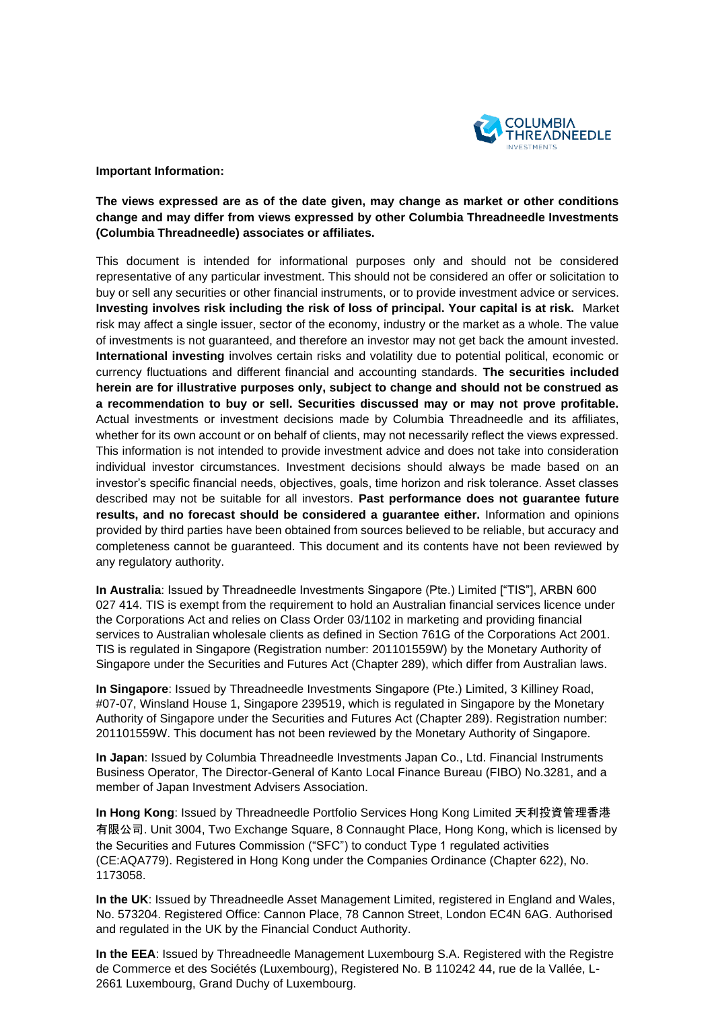

## **Important Information:**

## **The views expressed are as of the date given, may change as market or other conditions change and may differ from views expressed by other Columbia Threadneedle Investments (Columbia Threadneedle) associates or affiliates.**

This document is intended for informational purposes only and should not be considered representative of any particular investment. This should not be considered an offer or solicitation to buy or sell any securities or other financial instruments, or to provide investment advice or services. **Investing involves risk including the risk of loss of principal. Your capital is at risk.** Market risk may affect a single issuer, sector of the economy, industry or the market as a whole. The value of investments is not guaranteed, and therefore an investor may not get back the amount invested. **International investing** involves certain risks and volatility due to potential political, economic or currency fluctuations and different financial and accounting standards. **The securities included herein are for illustrative purposes only, subject to change and should not be construed as a recommendation to buy or sell. Securities discussed may or may not prove profitable.**  Actual investments or investment decisions made by Columbia Threadneedle and its affiliates, whether for its own account or on behalf of clients, may not necessarily reflect the views expressed. This information is not intended to provide investment advice and does not take into consideration individual investor circumstances. Investment decisions should always be made based on an investor's specific financial needs, objectives, goals, time horizon and risk tolerance. Asset classes described may not be suitable for all investors. **Past performance does not guarantee future results, and no forecast should be considered a guarantee either.** Information and opinions provided by third parties have been obtained from sources believed to be reliable, but accuracy and completeness cannot be guaranteed. This document and its contents have not been reviewed by any regulatory authority.

**In Australia**: Issued by Threadneedle Investments Singapore (Pte.) Limited ["TIS"], ARBN 600 027 414. TIS is exempt from the requirement to hold an Australian financial services licence under the Corporations Act and relies on Class Order 03/1102 in marketing and providing financial services to Australian wholesale clients as defined in Section 761G of the Corporations Act 2001. TIS is regulated in Singapore (Registration number: 201101559W) by the Monetary Authority of Singapore under the Securities and Futures Act (Chapter 289), which differ from Australian laws.

**In Singapore**: Issued by Threadneedle Investments Singapore (Pte.) Limited, 3 Killiney Road, #07-07, Winsland House 1, Singapore 239519, which is regulated in Singapore by the Monetary Authority of Singapore under the Securities and Futures Act (Chapter 289). Registration number: 201101559W. This document has not been reviewed by the Monetary Authority of Singapore.

**In Japan**: Issued by Columbia Threadneedle Investments Japan Co., Ltd. Financial Instruments Business Operator, The Director-General of Kanto Local Finance Bureau (FIBO) No.3281, and a member of Japan Investment Advisers Association.

**In Hong Kong**: Issued by Threadneedle Portfolio Services Hong Kong Limited 天利投資管理香港 有限公司. Unit 3004, Two Exchange Square, 8 Connaught Place, Hong Kong, which is licensed by the Securities and Futures Commission ("SFC") to conduct Type 1 regulated activities (CE:AQA779). Registered in Hong Kong under the Companies Ordinance (Chapter 622), No. 1173058.

**In the UK**: Issued by Threadneedle Asset Management Limited, registered in England and Wales, No. 573204. Registered Office: Cannon Place, 78 Cannon Street, London EC4N 6AG. Authorised and regulated in the UK by the Financial Conduct Authority.

**In the EEA**: Issued by Threadneedle Management Luxembourg S.A. Registered with the Registre de Commerce et des Sociétés (Luxembourg), Registered No. B 110242 44, rue de la Vallée, L-2661 Luxembourg, Grand Duchy of Luxembourg.